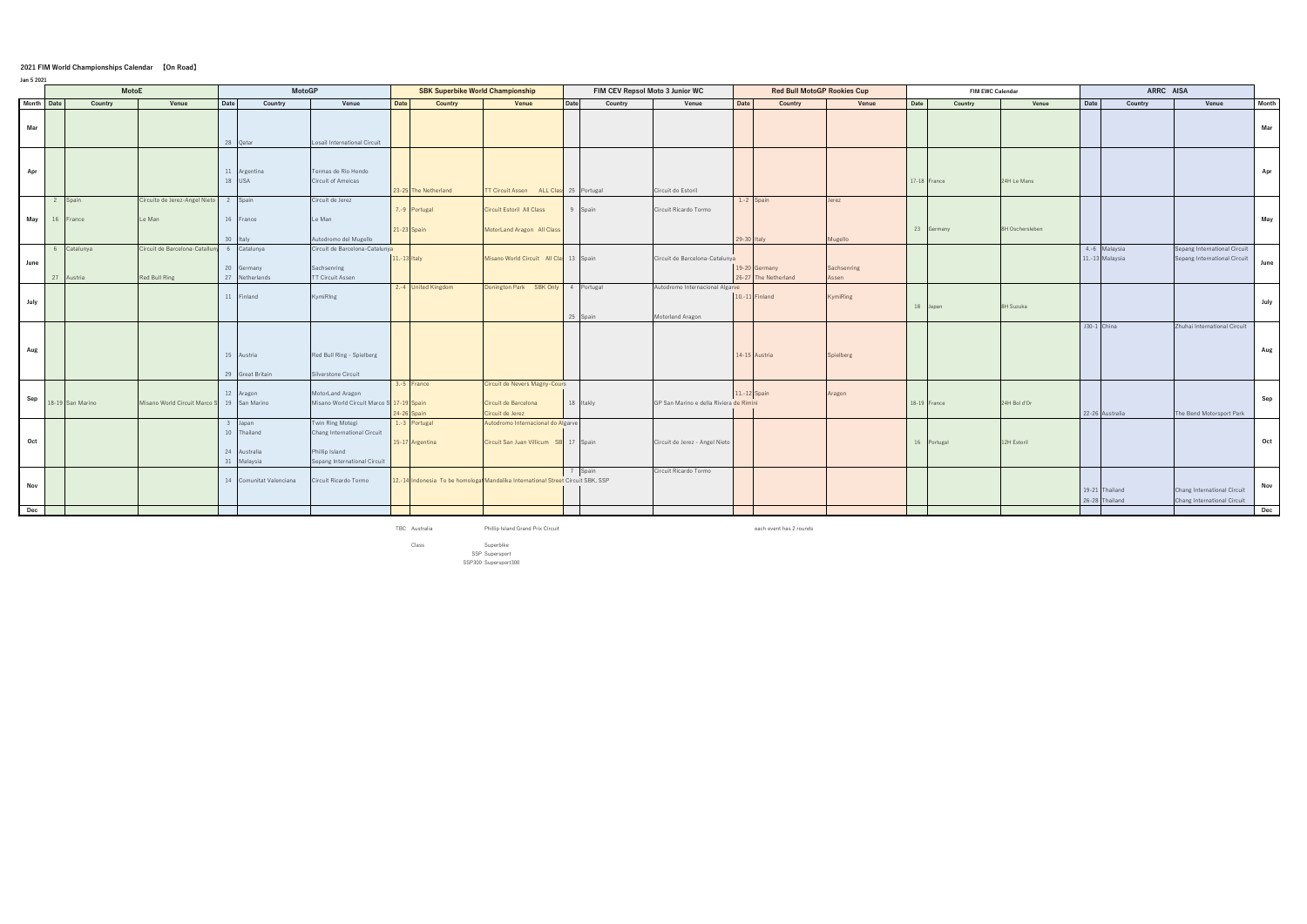## **2021 FIM World Championships Calendar 【On Road】**

| Jan 5 2021 |                |                        |                                               |          |                                                    |                                                                                                   |              |                                         |                                                                                  |             |           |                                 |                                                     |              |                                       |                      |      |                         |                 |      |                                  |                                                              |              |  |  |  |  |  |
|------------|----------------|------------------------|-----------------------------------------------|----------|----------------------------------------------------|---------------------------------------------------------------------------------------------------|--------------|-----------------------------------------|----------------------------------------------------------------------------------|-------------|-----------|---------------------------------|-----------------------------------------------------|--------------|---------------------------------------|----------------------|------|-------------------------|-----------------|------|----------------------------------|--------------------------------------------------------------|--------------|--|--|--|--|--|
|            |                | <b>MotoE</b>           |                                               |          | <b>MotoGP</b>                                      |                                                                                                   |              | <b>SBK Superbike World Championship</b> |                                                                                  |             |           | FIM CEV Repsol Moto 3 Junior WC |                                                     |              | <b>Red Bull MotoGP Rookies Cup</b>    |                      |      | <b>FIM EWC Calendar</b> |                 |      | ARRC AISA                        |                                                              |              |  |  |  |  |  |
|            | Month Date     | Country                | Venue                                         | Date     | Country                                            | Venue                                                                                             | <b>Date</b>  | <b>Country</b>                          | Venue                                                                            | <b>Date</b> |           | Country                         | Venue                                               | Date         | Country                               | Venue                | Date | Country                 | Venue           | Date | Country                          | Venue                                                        | <b>Month</b> |  |  |  |  |  |
| Mar        |                |                        |                                               | 28 Qatar |                                                    | Losail International Circuit                                                                      |              |                                         |                                                                                  |             |           |                                 |                                                     |              |                                       |                      |      |                         |                 |      |                                  |                                                              | Mar          |  |  |  |  |  |
| Apr        |                |                        |                                               | $18$ USA | 11 Argentina                                       | Termas de Rio Hondo<br>Circuit of Ameicas                                                         |              | 23-25 The Netherland                    | T Circuit Assen ALL Clas: 25 Portugal                                            |             |           |                                 | Circuit do Estoril                                  |              |                                       |                      |      | 17-18 France            | 24H Le Mans     |      |                                  |                                                              | Apr          |  |  |  |  |  |
| May        | $\overline{2}$ | Spain<br>16 France     | Circuito de Jerez-Angel Nieto<br>Le Man       | 2 Spain  | 16 France<br>Italy                                 | Circuit de Jerez<br>Le Man<br>Autodromo del Mugello                                               |              | 7.-9 Portugal<br>21-23 Spain            | Circuit Estoril All Class<br>MotorLand Aragon All Class                          |             | Spain     |                                 | Circuit Ricardo Tormo                               | $29 - 30$    | 1.-2 Spain<br>Italy                   | Jerez<br>Mugello     |      | 23 Germany              | 8H Oschersleben |      |                                  |                                                              | May          |  |  |  |  |  |
| June       | 27             | 6 Catalunya<br>Austria | Circuit de Barcelona-Catallu<br>Red Bull Ring |          | 6 Catalunya<br>20 Germany<br>27 Netherlands        | Circuit de Barcelona-Catalunya<br>Sachsenring<br>TT Circuit Assen                                 | 11.-13 Italy |                                         | Misano World Circuit All Cla: 13 Spain                                           |             |           |                                 | Circuit de Barcelona-Catalunya                      |              | 19-20 Germany<br>26-27 The Netherland | Sachsenring<br>Assen |      |                         |                 |      | 4.-6 Malaysia<br>11.-13 Malaysia | Sepang International Circuit<br>Sepang International Circuit | June         |  |  |  |  |  |
| July       |                |                        |                                               |          | 11 Finland                                         | KymiRIng                                                                                          |              | 2.-4 United Kingdom                     | Donington Park SBK Only 4 Portugal                                               |             | 25 Spain  |                                 | Autodromo Internacional Algarve<br>Motorland Aragon |              | 10.-11 Finland                        | KymiRing             |      | 18 Japan                | 8H Suzuka       |      |                                  |                                                              | July         |  |  |  |  |  |
| Aug        |                |                        |                                               |          | 15 Austria<br>29 Great Britain                     | Red Bull Ring - Spielberg<br>ilverstone Circuit                                                   |              |                                         |                                                                                  |             |           |                                 |                                                     |              | 14-15 Austria                         | Spielberg            |      |                         |                 |      | J30-1 China                      | Zhuhai International Circuit                                 | Aug          |  |  |  |  |  |
| Sep        |                | 18-19 San Marino       | Misano World Circuit Marco S 19 San Marino    |          | 12 Aragon                                          | MotorLand Aragon<br>Misano World Circuit Marco S 17-19 Spain                                      |              | $3.-5$ France<br>$24-26$ Spain          | Circuit de Nevers Magny-Cours<br>Circuit de Barcelona<br>Circuit de Jerez        |             | 18 Itakly |                                 | GP San Marino e della Riviera de Rimini             | 11.-12 Spain |                                       | Aragon               |      | 18-19 France            | 24H Bol d'Or    |      | 22-26 Australia                  | The Bend Motorsport Park                                     | Sep          |  |  |  |  |  |
| Oct        |                |                        |                                               | 24       | 3 Japan<br>10 Thailand<br>Australia<br>31 Malaysia | Twin Ring Motegi<br>Chang International Circuit<br>Phillip Island<br>Sepang International Circuit |              | 1.-3 Portugal<br>15-17 Argentina        | Autodromo Internacional do Algarve<br>Circuit San Juan Villicum SB 17 Spain      |             |           |                                 | Circuit de Jerez - Angel Nieto                      |              |                                       |                      |      | 16 Portugal             | 12H Estoril     |      |                                  |                                                              | Oct          |  |  |  |  |  |
| Nov        |                |                        |                                               |          | 14 Comunitat Valenciana                            | Circuit Ricardo Tormo                                                                             |              |                                         | 12.-14 Indonesia To be homologal Mandalika International Street Circuit SBK, SSP |             | 7 Spain   |                                 | Circuit Ricardo Tormo                               |              |                                       |                      |      |                         |                 |      | 19-21 Thailand<br>26-28 Thailand | Chang International Circuit<br>Chang International Circuit   | Nov          |  |  |  |  |  |
| Dec        |                |                        |                                               |          |                                                    |                                                                                                   |              |                                         |                                                                                  |             |           |                                 |                                                     |              |                                       |                      |      |                         |                 |      |                                  |                                                              | Dec          |  |  |  |  |  |

TBC Australia **Phillip Island Grand Prix Circuit** each event has 2 rounds

Class SBK Superbike SSP Supersport SSP300 Supersport300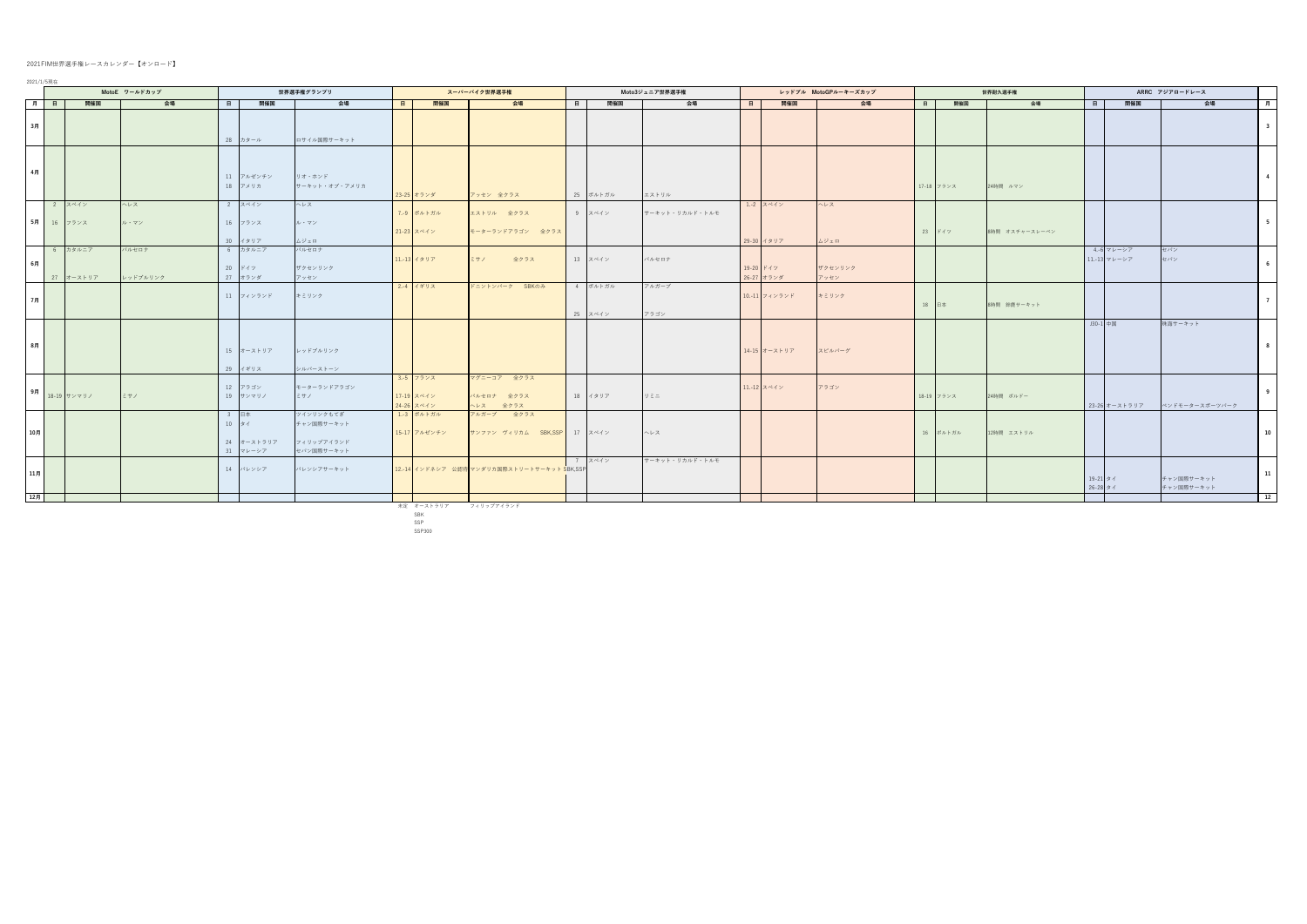## 2021FIM世界選手権レースカレンダー【オンロード】

|                 |                      | MotoE ワールドカップ        |                   |   |                                                      | 世界選手権グランプリ                                          |   |                                       | スーパーバイク世界選手権                                |       |                    | Moto3ジュニア世界選手権 |          |                         | レッドブル MotoGPルーキーズカップ |       |            | 世界耐久選手権        |                      |                            | ARRC アジアロードレース           |                            |
|-----------------|----------------------|----------------------|-------------------|---|------------------------------------------------------|-----------------------------------------------------|---|---------------------------------------|---------------------------------------------|-------|--------------------|----------------|----------|-------------------------|----------------------|-------|------------|----------------|----------------------|----------------------------|--------------------------|----------------------------|
| 月日              |                      | 開催国                  | 会場                | 日 | 開催国                                                  | 会場                                                  | 日 | 開催国                                   | 会場                                          | - 8 I | 開催国                | 会場             | <b>B</b> | 開催国                     | 会場                   | 8 I   | 開催国        | 会場             | - 8 - 1              | 開催国                        | 会場                       | 月                          |
| 3月              |                      |                      |                   |   | 28 カタール                                              | ロサイル国際サーキット                                         |   |                                       |                                             |       |                    |                |          |                         |                      |       |            |                |                      |                            |                          | $\overline{\phantom{a}}$ 3 |
| 4月              |                      |                      |                   |   | 11 アルゼンチン<br>18 アメリカ                                 | リオ・ホンド<br>サーキット・オブ・アメリカ                             |   | 23-25 オランダ                            | アッセン 全クラス                                   |       | 25 ポルトガル           | エストリル          |          |                         |                      |       | 17-18 フランス | 24時間 ルマン       |                      |                            |                          | $\overline{4}$             |
|                 | 2 スペイン<br>5月 16 フランス |                      | ヘレス<br>ル・マン       |   | 2 スペイン<br>16 フランス<br>30 イタリア                         | ヘレス<br>ル・マン<br>ムジェロ                                 |   | 7.-9 ポルトガル<br>21-23 スペイン              | エストリル 全クラス<br>モーターランドアラゴン 全クラス              |       | 9 スペイン             | サーキット・リカルド・トルモ |          | 1.-2 スペイン<br>29-30 イタリア | ヘレス<br>ムジェロ          |       | 23 ドイツ     | 8時間 オスチャースレーベン |                      |                            |                          | $5^{\circ}$                |
| 6月              |                      | 6 カタルニア<br>27 オーストリア | バルセロナ<br>レッドブルリンク |   | 6 カタルニア<br>20 ドイツ<br>27 オランダ                         | バルセロナ<br>ザクセンリンク<br>アッセン                            |   | 11.-13 イタリア                           | ミサノ<br>全クラス                                 |       | 13 スペイン            | バルセロナ          |          | 19-20 ドイツ<br>26-27 オランダ | ザクセンリンク<br>アッセン      |       |            |                |                      | 4.-6 マレーシア<br>11.-13 マレーシア | セパン<br>セパン               | $6\overline{6}$            |
| 7月              |                      |                      |                   |   | 11 フィンランド                                            | キミリンク                                               |   | 2.-4 イギリス                             | ドニントンパーク SBKのみ                              |       | 4 ポルトガル<br>25 スペイン | アルガーブ<br>アラゴン  |          | 10.-11 フィンランド           | キミリンク                | 18 日本 |            | 8時間 鈴鹿サーキット    |                      |                            |                          | $\overline{7}$             |
| 8月              |                      |                      |                   |   | 15 オーストリア<br>29 イギリス                                 | レッドブルリンク<br>シルバーストーン                                |   |                                       |                                             |       |                    |                |          | 14-15 オーストリア            | スピルバーグ               |       |            |                | J30-1 中国             |                            | 珠海サーキット                  | 8 <sup>1</sup>             |
|                 |                      | 9月 18-19 サンマリノ       | ミサノ               |   | 12 アラゴン<br>19 サンマリノ                                  | モーターランドアラゴン<br>ミサノ                                  |   | 3.-5 フランス<br>17-19 スペイン<br>24-26 スペイン | マグニーコア 全クラス<br>バルセロナ 全クラス<br>ヘレス 全クラス       |       | 18 イタリア            | リミニ            |          | 11.-12 スペイン             | アラゴン                 |       | 18-19 フランス | 24時間 ボルドー      |                      | 23-26 オーストラリア              | ベンドモータースポーツパーク           | 9                          |
| 10月             |                      |                      |                   |   | 3 日本<br>$10$ $\frac{1}{2}$<br>24 オーストラリア<br>31 マレーシア | ツインリンクもてぎ<br>チャン国際サーキット<br>フィリップアイランド<br>セパン国際サーキット |   | 1.-3 ポルトガル<br>15-17 アルゼンチン            | アルガーブ 全クラス<br>サンファン ヴィリカム SBK,SSP 17 スペイン   |       |                    | ヘレス            |          |                         |                      |       | 16 ポルトガル   | 12時間 エストリル     |                      |                            |                          | 10                         |
| 11 <sub>7</sub> |                      |                      |                   |   | 14 バレンシア                                             | バレンシアサーキット                                          |   |                                       | 12.-14 インドネシア 公認待 マンダリカ国際ストリートサーキット SBK,SSP |       | 7 スペイン             | サーキット・リカルド・トルモ |          |                         |                      |       |            |                | 19-21 タイ<br>26-28 タイ |                            | チャン国際サーキット<br>チャン国際サーキット | 11                         |
| 12月             |                      |                      |                   |   |                                                      |                                                     |   |                                       |                                             |       |                    |                |          |                         |                      |       |            |                |                      |                            |                          | <b>12</b>                  |

未定 オーストラリア フィリップアイランド<br>SBK<br>SSP<br>SSP300

2021/1/5現在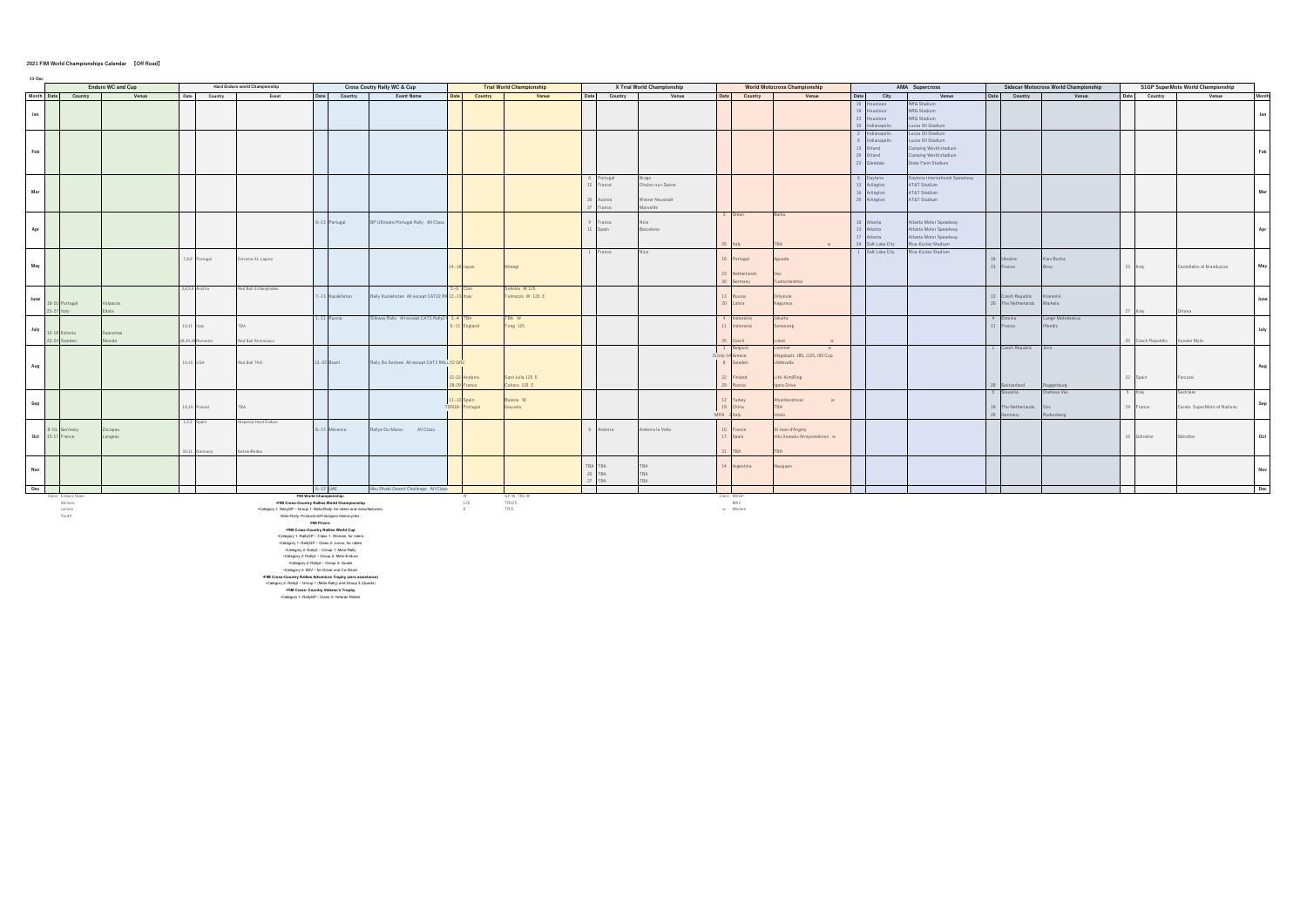## **2021 FIM World Championships Calendar 【Off Road】**

| 23-Dec |            | <b>Enduro WC and Cup</b><br>Hard Enduro world Championship |                   |                  |                                                                           |                                                                                                         |         |                                             |                        |                                  |                 |                            |                 |                      |                                     |    |                                 |                                                  | <b>Sidecar Motocross World Championship</b> |                    |                           | S1GP SuperMoto World Championship |                             |       |
|--------|------------|------------------------------------------------------------|-------------------|------------------|---------------------------------------------------------------------------|---------------------------------------------------------------------------------------------------------|---------|---------------------------------------------|------------------------|----------------------------------|-----------------|----------------------------|-----------------|----------------------|-------------------------------------|----|---------------------------------|--------------------------------------------------|---------------------------------------------|--------------------|---------------------------|-----------------------------------|-----------------------------|-------|
|        | Month Date |                                                            |                   |                  |                                                                           |                                                                                                         |         | Cross Coutry Rally WC & Cup                 |                        | <b>Trial World Championship</b>  |                 | X Trial World Championship |                 |                      | <b>World Motocross Championship</b> |    |                                 | AMA Supercross                                   |                                             |                    |                           |                                   |                             |       |
|        |            | Country                                                    | Venue             | Date<br>Country  | Event                                                                     | Date                                                                                                    | Country | <b>Event Name</b><br>Date                   | Country                | Venue                            | Country<br>Date | Venue                      | Date            | Country              | Venue                               | 16 | Date City<br>oustoon            | Venue<br>NRG Stadium                             |                                             | Date Country       | Venue                     | Country<br>Date                   | Venue                       | Month |
|        |            |                                                            |                   |                  |                                                                           |                                                                                                         |         |                                             |                        |                                  |                 |                            |                 |                      |                                     |    | 19 Houstoon                     | NRG Stadium                                      |                                             |                    |                           |                                   |                             |       |
| Jan    |            |                                                            |                   |                  |                                                                           |                                                                                                         |         |                                             |                        |                                  |                 |                            |                 |                      |                                     |    | 23 Houstoon                     | NRG Stadium                                      |                                             |                    |                           |                                   |                             | Jan   |
|        |            |                                                            |                   |                  |                                                                           |                                                                                                         |         |                                             |                        |                                  |                 |                            |                 |                      |                                     |    | 30 Indianapolis                 | ucas Oil Stadium                                 |                                             |                    |                           |                                   |                             |       |
|        |            |                                                            |                   |                  |                                                                           |                                                                                                         |         |                                             |                        |                                  |                 |                            |                 |                      |                                     |    | 2 Indianapolis                  | ucas Oil Stadium                                 |                                             |                    |                           |                                   |                             |       |
|        |            |                                                            |                   |                  |                                                                           |                                                                                                         |         |                                             |                        |                                  |                 |                            |                 |                      |                                     |    | Indianapolis                    | ucas Oil Stadium                                 |                                             |                    |                           |                                   |                             |       |
| Feb    |            |                                                            |                   |                  |                                                                           |                                                                                                         |         |                                             |                        |                                  |                 |                            |                 |                      |                                     |    | Orland                          | Camping World stadium                            |                                             |                    |                           |                                   |                             | Feb   |
|        |            |                                                            |                   |                  |                                                                           |                                                                                                         |         |                                             |                        |                                  |                 |                            |                 |                      |                                     |    | 20 Orland                       | Camping World stadium<br>State Farm Stadium      |                                             |                    |                           |                                   |                             |       |
|        |            |                                                            |                   |                  |                                                                           |                                                                                                         |         |                                             |                        |                                  |                 |                            |                 |                      |                                     |    | 23 Glendale                     |                                                  |                                             |                    |                           |                                   |                             |       |
|        |            |                                                            |                   |                  |                                                                           |                                                                                                         |         |                                             |                        |                                  | Portugal        | raga                       |                 |                      |                                     |    | 6 Daytona                       | Daytona International Speedway                   |                                             |                    |                           |                                   |                             |       |
|        |            |                                                            |                   |                  |                                                                           |                                                                                                         |         |                                             |                        |                                  | France          | Chalon-sur-Saone           |                 |                      |                                     |    | 13 Arlington                    | AT&T Stadium                                     |                                             |                    |                           |                                   |                             |       |
| Mar    |            |                                                            |                   |                  |                                                                           |                                                                                                         |         |                                             |                        |                                  |                 |                            |                 |                      |                                     |    | 16 Arlington                    | AT&T Stadium                                     |                                             |                    |                           |                                   |                             | Mar   |
|        |            |                                                            |                   |                  |                                                                           |                                                                                                         |         |                                             |                        |                                  | Austria         | Wiener Neustadt            |                 |                      |                                     |    | 20 Arlington                    | AT&T Stadium                                     |                                             |                    |                           |                                   |                             |       |
|        |            |                                                            |                   |                  |                                                                           |                                                                                                         |         |                                             |                        |                                  | ance            | ellies                     |                 |                      |                                     |    |                                 |                                                  |                                             |                    |                           |                                   |                             |       |
|        |            |                                                            |                   |                  |                                                                           |                                                                                                         |         |                                             |                        |                                  |                 |                            |                 | Oman                 | Barka                               |    |                                 |                                                  |                                             |                    |                           |                                   |                             |       |
|        |            |                                                            |                   |                  |                                                                           | 9.-13 Portugal                                                                                          |         | BP Ultimate Portugal Rally All Class        |                        |                                  | rance           |                            |                 |                      |                                     |    | 10 Atlanta                      | Itlanta Motor Speedway                           |                                             |                    |                           |                                   |                             |       |
| Apr    |            |                                                            |                   |                  |                                                                           |                                                                                                         |         |                                             |                        |                                  | Spain           | Barcelona                  |                 |                      |                                     |    | 13 Atlanta                      | Atlanta Motor Speedway<br>Atlanta Motor Speedway |                                             |                    |                           |                                   |                             | Apr   |
|        |            |                                                            |                   |                  |                                                                           |                                                                                                         |         |                                             |                        |                                  |                 |                            |                 |                      | M                                   |    | 17 Atlanta<br>24 Salt Lake City | Rice-Eccles Stadium                              |                                             |                    |                           |                                   |                             |       |
|        |            |                                                            |                   |                  |                                                                           |                                                                                                         |         |                                             |                        |                                  | rance           |                            |                 |                      |                                     |    | 1 Salt Lake City                | Rice-Eccles Stadium                              |                                             |                    |                           |                                   |                             |       |
|        |            |                                                            |                   | 7,8,9 Portugal   | Extreme XL Lagres                                                         |                                                                                                         |         |                                             |                        |                                  |                 |                            |                 | Portugal             | Agueda                              |    |                                 |                                                  | 16 Ukraine                                  |                    | Kiev Bucha                |                                   |                             |       |
| May    |            |                                                            |                   |                  |                                                                           |                                                                                                         |         |                                             | 4.-16 Japan            | <b>Motegi</b>                    |                 |                            |                 |                      |                                     |    |                                 |                                                  | 23 France                                   |                    |                           | 23 Italy                          | Castelletto di Branduzzzo   | May   |
|        |            |                                                            |                   |                  |                                                                           |                                                                                                         |         |                                             |                        |                                  |                 |                            |                 | Netherlands          |                                     |    |                                 |                                                  |                                             |                    |                           |                                   |                             |       |
|        |            |                                                            |                   |                  |                                                                           |                                                                                                         |         |                                             |                        |                                  |                 |                            |                 | many                 | atschenthal                         |    |                                 |                                                  |                                             |                    |                           |                                   |                             |       |
|        |            |                                                            |                   | 3,4,5,6 Austria  | Red Bull Erzbergrodeo                                                     |                                                                                                         |         |                                             |                        | kolov W 125                      |                 |                            |                 |                      |                                     |    |                                 |                                                  |                                             |                    |                           |                                   |                             |       |
| June   |            |                                                            |                   |                  |                                                                           | -13 Kazakhstan                                                                                          |         | Rally Kazakhstan All except CAT22 RA 12.    | 3 Italy                | mezzo W 125 E                    |                 |                            |                 | ussia                | rlyonok                             |    |                                 |                                                  |                                             | zech Republic      | ramolin                   |                                   |                             |       |
|        |            | Portugal                                                   | alpacos<br>$\sim$ |                  |                                                                           |                                                                                                         |         |                                             |                        |                                  |                 |                            |                 | Latvia               | Kegumus                             |    |                                 |                                                  | 20                                          | The Netherlands    | <b>Markelo</b>            |                                   |                             |       |
|        |            |                                                            |                   |                  |                                                                           |                                                                                                         |         |                                             |                        |                                  |                 |                            |                 |                      |                                     |    |                                 |                                                  | 4                                           |                    |                           |                                   | ona:                        |       |
|        |            |                                                            |                   | 10,11 Italy      |                                                                           | 1 Russia                                                                                                |         | Ikway Rally All except CAT2 Rally2 3.-4 TBA | England                | TBA W<br><b>Tong 125</b>         |                 |                            |                 | donesia<br>ndonesia  | lakarta<br>Semarang                 |    |                                 |                                                  | 11 France                                   | Estonia            | ange Motokeskus<br>fendic |                                   |                             |       |
| July   |            | 16-18 Estonia                                              | Saaremaa          |                  |                                                                           |                                                                                                         |         |                                             |                        |                                  |                 |                            |                 |                      |                                     |    |                                 |                                                  |                                             |                    |                           |                                   |                             | July  |
|        |            | reden                                                      | kovde             | 28,29,30 Romania | Red Bull Romaniacs                                                        |                                                                                                         |         |                                             |                        |                                  |                 |                            |                 | zech                 |                                     |    |                                 |                                                  |                                             |                    |                           | Czech Republlic<br>25             | Vusoke Myto                 |       |
|        |            |                                                            |                   |                  |                                                                           |                                                                                                         |         |                                             |                        |                                  |                 |                            |                 | elgium               | nmel                                |    |                                 |                                                  |                                             | 1 Czech Republic   |                           |                                   |                             |       |
|        |            |                                                            |                   |                  |                                                                           |                                                                                                         |         |                                             |                        |                                  |                 |                            | $31$ July- $1A$ | ireece               | Megalopis J85, J125, J65 Cup        |    |                                 |                                                  |                                             |                    |                           |                                   |                             |       |
| Aug    |            |                                                            |                   | 14,15 USA        | Red Bull TKO                                                              | 13.-22 Brazil                                                                                           |         | Rally Do Sertoes All except CAT2 RALLY2 GR2 |                        |                                  |                 |                            |                 | weden                | Iddevalla                           |    |                                 |                                                  |                                             |                    |                           |                                   |                             | Aug   |
|        |            |                                                            |                   |                  |                                                                           |                                                                                                         |         |                                             |                        |                                  |                 |                            |                 |                      |                                     |    |                                 |                                                  |                                             |                    |                           |                                   |                             |       |
|        |            |                                                            |                   |                  |                                                                           |                                                                                                         |         |                                             | 22 Andorra<br>9 France | Sant Julia 125 E<br>Cahors 125 E |                 |                            |                 | Finland<br>29 Russia | Litti-KimiRing<br>gora Drive        |    |                                 |                                                  |                                             | hnehertiy          | genburg                   | Spain                             | rcarei                      |       |
|        |            |                                                            |                   |                  |                                                                           |                                                                                                         |         |                                             |                        |                                  |                 |                            |                 |                      |                                     |    |                                 |                                                  | $-5$                                        | ovenia             | Orehova Vas               |                                   | triere                      |       |
|        |            |                                                            |                   |                  |                                                                           |                                                                                                         |         |                                             | 11.-12 Spain           | Baiona W                         |                 |                            |                 | 12 Turkey            | Afyonkarahisar<br>W                 |    |                                 |                                                  |                                             |                    |                           |                                   |                             |       |
| Sep    |            |                                                            |                   | 18,19 Poland     |                                                                           |                                                                                                         |         |                                             | TDN18-1Portugal        | Gouveia                          |                 |                            |                 | 19 China             | <b>TBA</b>                          |    |                                 |                                                  |                                             | 19 The Netherlands |                           | 19 France                         | Carole SuperMoto of Nations | Sep   |
|        |            |                                                            |                   |                  |                                                                           |                                                                                                         |         |                                             |                        |                                  |                 |                            | <b>MXN</b>      | 2 Italy              | iola.                               |    |                                 |                                                  | 26                                          | Germany            | dersherg                  |                                   |                             |       |
|        |            |                                                            |                   | 1.2.3 Spain      | ixpania Hard Enduro                                                       |                                                                                                         |         |                                             |                        |                                  |                 |                            |                 |                      |                                     |    |                                 |                                                  |                                             |                    |                           |                                   |                             |       |
|        |            | ermany                                                     | copau             |                  |                                                                           | 8.-13 Morocco                                                                                           |         | Rallye Du Maroc All Class                   |                        |                                  | Andorra         | Andorra la Vella           |                 | France               | St Jean d'Angely                    |    |                                 |                                                  |                                             |                    |                           |                                   |                             |       |
| Oct    | $15-11$    | France                                                     | angeac            |                  |                                                                           |                                                                                                         |         |                                             |                        |                                  |                 |                            |                 | pain                 | Intu Xanadu-Arroyomolinos w         |    |                                 |                                                  |                                             |                    |                           | Gibraltar                         | ibraltar                    | Oct   |
|        |            |                                                            |                   |                  | tzenRodeo                                                                 |                                                                                                         |         |                                             |                        |                                  |                 |                            |                 | <b>TRA</b>           |                                     |    |                                 |                                                  |                                             |                    |                           |                                   |                             |       |
|        |            |                                                            |                   | many             |                                                                           |                                                                                                         |         |                                             |                        |                                  |                 |                            |                 |                      |                                     |    |                                 |                                                  |                                             |                    |                           |                                   |                             |       |
|        |            |                                                            |                   |                  |                                                                           |                                                                                                         |         |                                             |                        |                                  | BA TRA          |                            |                 | 14 Argentina         | lauen                               |    |                                 |                                                  |                                             |                    |                           |                                   |                             |       |
| Nov    |            |                                                            |                   |                  |                                                                           |                                                                                                         |         |                                             |                        |                                  | 20 TBA          | <b>TBA</b>                 |                 |                      |                                     |    |                                 |                                                  |                                             |                    |                           |                                   |                             | Nov   |
|        |            |                                                            |                   |                  |                                                                           |                                                                                                         |         |                                             |                        |                                  | TBA             |                            |                 |                      |                                     |    |                                 |                                                  |                                             |                    |                           |                                   |                             |       |
|        | Dec        |                                                            |                   |                  |                                                                           | 6.-12 UAE                                                                                               |         | Abu Dhabi Desert Challenge All Class        |                        |                                  |                 |                            |                 |                      |                                     |    |                                 |                                                  |                                             |                    |                           |                                   |                             | Dec   |
|        |            | Class Enduro Open<br>Seniors                               |                   |                  |                                                                           | FIM World Championship:<br>.FIM Cross-Country Rallies World Championship                                |         |                                             | W<br>125               | GP W, TR2 W<br>TR125             |                 |                            |                 | Class MXGP<br>MX2    |                                     |    |                                 |                                                  |                                             |                    |                           |                                   |                             |       |
|        |            | Juniors                                                    |                   |                  | .Category 1: RallyGP - Group 1: Moto-Rally, for riders and manufacturers. |                                                                                                         |         |                                             | E                      | TRE                              |                 |                            |                 | w Women              |                                     |    |                                 |                                                  |                                             |                    |                           |                                   |                             |       |
|        |            | Youth                                                      |                   |                  |                                                                           | Moto-Rally: Production/Prototypes Motorcycles.                                                          |         |                                             |                        |                                  |                 |                            |                 |                      |                                     |    |                                 |                                                  |                                             |                    |                           |                                   |                             |       |
|        |            |                                                            |                   |                  |                                                                           | <b>FIM Prizes:</b>                                                                                      |         |                                             |                        |                                  |                 |                            |                 |                      |                                     |    |                                 |                                                  |                                             |                    |                           |                                   |                             |       |
|        |            |                                                            |                   |                  |                                                                           | .FIM Cross-Country Rallies World Cup                                                                    |         |                                             |                        |                                  |                 |                            |                 |                      |                                     |    |                                 |                                                  |                                             |                    |                           |                                   |                             |       |
|        |            |                                                            |                   |                  |                                                                           | .Category 1: RallyGP - Class 1: Women, for riders<br>.Category 1: RallyGP - Class 2: Junior, for riders |         |                                             |                        |                                  |                 |                            |                 |                      |                                     |    |                                 |                                                  |                                             |                    |                           |                                   |                             |       |
|        |            |                                                            |                   |                  |                                                                           | .Category 2: Rally2 - Group 1: Moto-Rally                                                               |         |                                             |                        |                                  |                 |                            |                 |                      |                                     |    |                                 |                                                  |                                             |                    |                           |                                   |                             |       |
|        |            |                                                            |                   |                  |                                                                           | .Category 2: Rally2 - Group 2: Moto-Enduro                                                              |         |                                             |                        |                                  |                 |                            |                 |                      |                                     |    |                                 |                                                  |                                             |                    |                           |                                   |                             |       |
|        |            |                                                            |                   |                  |                                                                           | .Category 2: Rally2 - Group 3: Quads                                                                    |         |                                             |                        |                                  |                 |                            |                 |                      |                                     |    |                                 |                                                  |                                             |                    |                           |                                   |                             |       |
|        |            |                                                            |                   |                  | .FIM Cross-Country Rallies Adventure Trophy (zero assistance)             | .Category 3: SSV - for Driver and Co-Driver                                                             |         |                                             |                        |                                  |                 |                            |                 |                      |                                     |    |                                 |                                                  |                                             |                    |                           |                                   |                             |       |
|        |            |                                                            |                   |                  | .Category 2: Rally2 - Group 1 (Moto-Rally) and Group 3 (Quads)            |                                                                                                         |         |                                             |                        |                                  |                 |                            |                 |                      |                                     |    |                                 |                                                  |                                             |                    |                           |                                   |                             |       |
|        |            |                                                            |                   |                  |                                                                           | .FIM Cross- Country Veteran's Trophy                                                                    |         |                                             |                        |                                  |                 |                            |                 |                      |                                     |    |                                 |                                                  |                                             |                    |                           |                                   |                             |       |
|        |            |                                                            |                   |                  |                                                                           | .Category 1: RallyGP - Class 3: Veteran Riders                                                          |         |                                             |                        |                                  |                 |                            |                 |                      |                                     |    |                                 |                                                  |                                             |                    |                           |                                   |                             |       |